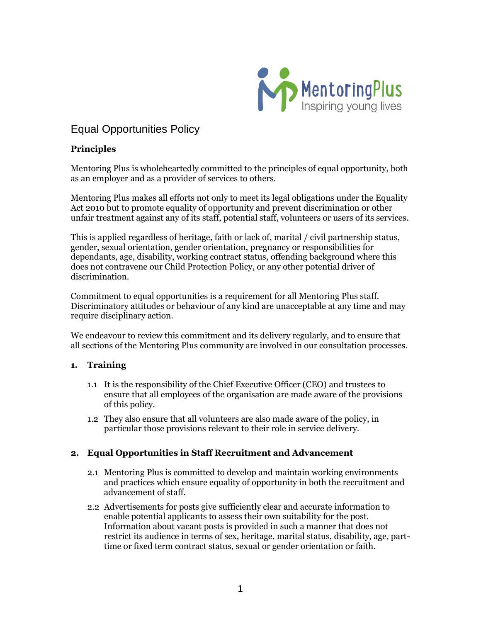

# Equal Opportunities Policy

## **Principles**

Mentoring Plus is wholeheartedly committed to the principles of equal opportunity, both as an employer and as a provider of services to others.

Mentoring Plus makes all efforts not only to meet its legal obligations under the Equality Act 2010 but to promote equality of opportunity and prevent discrimination or other unfair treatment against any of its staff, potential staff, volunteers or users of its services.

This is applied regardless of heritage, faith or lack of, marital / civil partnership status, gender, sexual orientation, gender orientation, pregnancy or responsibilities for dependants, age, disability, working contract status, offending background where this does not contravene our Child Protection Policy, or any other potential driver of discrimination.

Commitment to equal opportunities is a requirement for all Mentoring Plus staff. Discriminatory attitudes or behaviour of any kind are unacceptable at any time and may require disciplinary action.

We endeavour to review this commitment and its delivery regularly, and to ensure that all sections of the Mentoring Plus community are involved in our consultation processes.

## **1. Training**

- 1.1 It is the responsibility of the Chief Executive Officer (CEO) and trustees to ensure that all employees of the organisation are made aware of the provisions of this policy.
- 1.2 They also ensure that all volunteers are also made aware of the policy, in particular those provisions relevant to their role in service delivery.

### **2. Equal Opportunities in Staff Recruitment and Advancement**

- 2.1 Mentoring Plus is committed to develop and maintain working environments and practices which ensure equality of opportunity in both the recruitment and advancement of staff.
- 2.2 Advertisements for posts give sufficiently clear and accurate information to enable potential applicants to assess their own suitability for the post. Information about vacant posts is provided in such a manner that does not restrict its audience in terms of sex, heritage, marital status, disability, age, parttime or fixed term contract status, sexual or gender orientation or faith.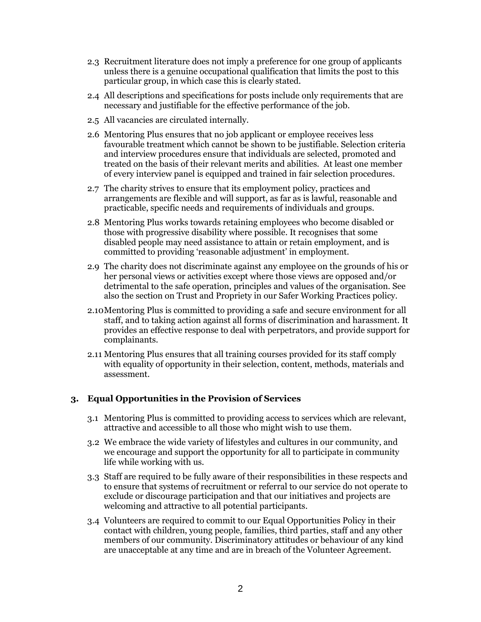- 2.3 Recruitment literature does not imply a preference for one group of applicants unless there is a genuine occupational qualification that limits the post to this particular group, in which case this is clearly stated.
- 2.4 All descriptions and specifications for posts include only requirements that are necessary and justifiable for the effective performance of the job.
- 2.5 All vacancies are circulated internally.
- 2.6 Mentoring Plus ensures that no job applicant or employee receives less favourable treatment which cannot be shown to be justifiable. Selection criteria and interview procedures ensure that individuals are selected, promoted and treated on the basis of their relevant merits and abilities. At least one member of every interview panel is equipped and trained in fair selection procedures.
- 2.7 The charity strives to ensure that its employment policy, practices and arrangements are flexible and will support, as far as is lawful, reasonable and practicable, specific needs and requirements of individuals and groups.
- 2.8 Mentoring Plus works towards retaining employees who become disabled or those with progressive disability where possible. It recognises that some disabled people may need assistance to attain or retain employment, and is committed to providing 'reasonable adjustment' in employment.
- 2.9 The charity does not discriminate against any employee on the grounds of his or her personal views or activities except where those views are opposed and/or detrimental to the safe operation, principles and values of the organisation. See also the section on Trust and Propriety in our Safer Working Practices policy.
- 2.10Mentoring Plus is committed to providing a safe and secure environment for all staff, and to taking action against all forms of discrimination and harassment. It provides an effective response to deal with perpetrators, and provide support for complainants.
- 2.11 Mentoring Plus ensures that all training courses provided for its staff comply with equality of opportunity in their selection, content, methods, materials and assessment.

### **3. Equal Opportunities in the Provision of Services**

- 3.1 Mentoring Plus is committed to providing access to services which are relevant, attractive and accessible to all those who might wish to use them.
- 3.2 We embrace the wide variety of lifestyles and cultures in our community, and we encourage and support the opportunity for all to participate in community life while working with us.
- 3.3 Staff are required to be fully aware of their responsibilities in these respects and to ensure that systems of recruitment or referral to our service do not operate to exclude or discourage participation and that our initiatives and projects are welcoming and attractive to all potential participants.
- 3.4 Volunteers are required to commit to our Equal Opportunities Policy in their contact with children, young people, families, third parties, staff and any other members of our community. Discriminatory attitudes or behaviour of any kind are unacceptable at any time and are in breach of the Volunteer Agreement.